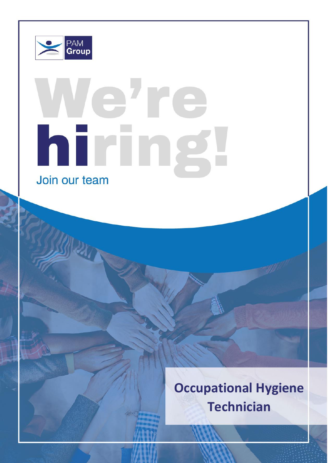

# ehre hiring Join our team

**Occupational Hygiene Technician**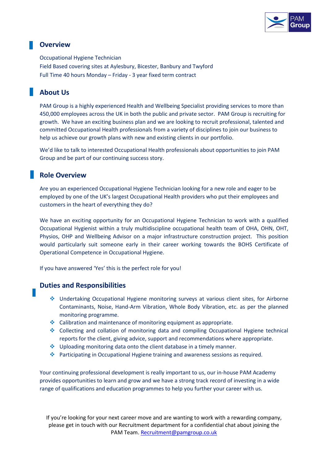

## **Overview**

Occupational Hygiene Technician Field Based covering sites at Aylesbury, Bicester, Banbury and Twyford Full Time 40 hours Monday – Friday - 3 year fixed term contract

# **About Us**

PAM Group is a highly experienced Health and Wellbeing Specialist providing services to more than 450,000 employees across the UK in both the public and private sector. PAM Group is recruiting for growth. We have an exciting business plan and we are looking to recruit professional, talented and committed Occupational Health professionals from a variety of disciplines to join our business to help us achieve our growth plans with new and existing clients in our portfolio.

We'd like to talk to interested Occupational Health professionals about opportunities to join PAM Group and be part of our continuing success story.

### **Role Overview**

Are you an experienced Occupational Hygiene Technician looking for a new role and eager to be employed by one of the UK's largest Occupational Health providers who put their employees and customers in the heart of everything they do?

We have an exciting opportunity for an Occupational Hygiene Technician to work with a qualified Occupational Hygienist within a truly multidiscipline occupational health team of OHA, OHN, OHT, Physios, OHP and Wellbeing Advisor on a major infrastructure construction project. This position would particularly suit someone early in their career working towards the BOHS Certificate of Operational Competence in Occupational Hygiene.

If you have answered 'Yes' this is the perfect role for you!

#### **Duties and Responsibilities**

- ❖ Undertaking Occupational Hygiene monitoring surveys at various client sites, for Airborne Contaminants, Noise, Hand-Arm Vibration, Whole Body Vibration, etc. as per the planned monitoring programme.
- $\triangleq$  Calibration and maintenance of monitoring equipment as appropriate.
- ❖ Collecting and collation of monitoring data and compiling Occupational Hygiene technical reports for the client, giving advice, support and recommendations where appropriate.
- ❖ Uploading monitoring data onto the client database in a timely manner.
- ❖ Participating in Occupational Hygiene training and awareness sessions as required.

Your continuing professional development is really important to us, our in-house PAM Academy provides opportunities to learn and grow and we have a strong track record of investing in a wide range of qualifications and education programmes to help you further your career with us.

If you're looking for your next career move and are wanting to work with a rewarding company, please get in touch with our Recruitment department for a confidential chat about joining the PAM Team. [Recruitment@pamgroup.co.uk](mailto:Recruitment@pamgroup.co.uk)